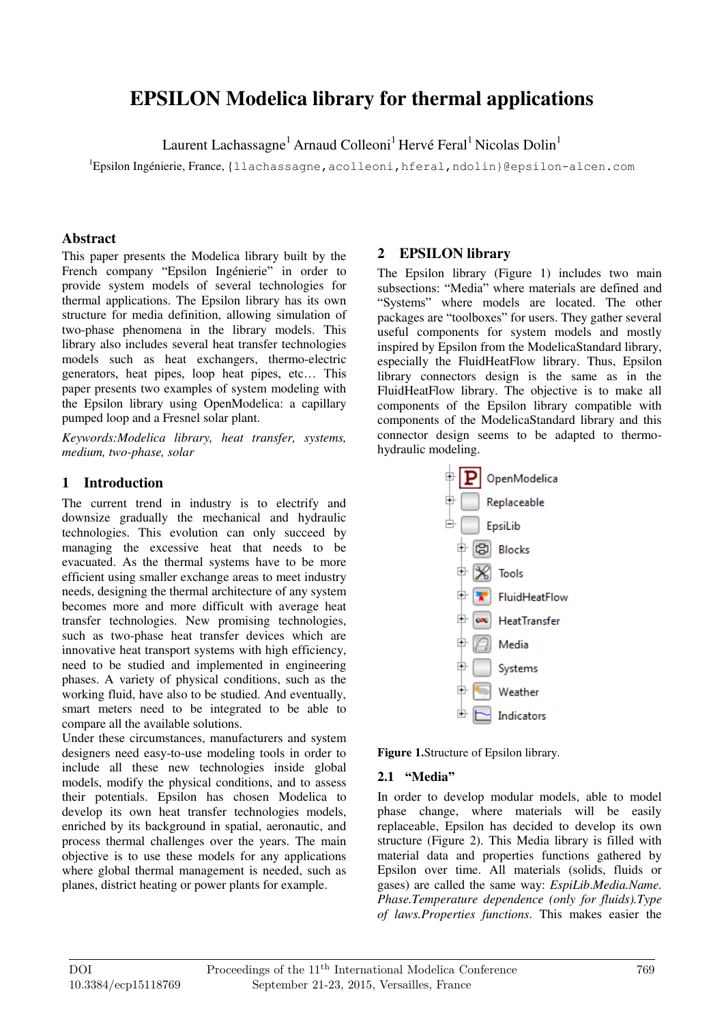# **EPSILON Modelica library for thermal applications**

Laurent Lachassagne<sup>1</sup> Arnaud Colleoni<sup>1</sup> Hervé Feral<sup>1</sup> Nicolas Dolin<sup>1</sup>

<sup>1</sup>Epsilon Ingénierie, France, {llachassagne,acolleoni,hferal,ndolin}@epsilon-alcen.com

#### **Abstract**

This paper presents the Modelica library built by the French company "Epsilon Ingénierie" in order to provide system models of several technologies for thermal applications. The Epsilon library has its own structure for media definition, allowing simulation of two-phase phenomena in the library models. This library also includes several heat transfer technologies models such as heat exchangers, thermo-electric generators, heat pipes, loop heat pipes, etc… This paper presents two examples of system modeling with the Epsilon library using OpenModelica: a capillary pumped loop and a Fresnel solar plant.

*Keywords:Modelica library, heat transfer, systems, medium, two-phase, solar* 

# **1 Introduction**

The current trend in industry is to electrify and downsize gradually the mechanical and hydraulic technologies. This evolution can only succeed by managing the excessive heat that needs to be evacuated. As the thermal systems have to be more efficient using smaller exchange areas to meet industry needs, designing the thermal architecture of any system becomes more and more difficult with average heat transfer technologies. New promising technologies, such as two-phase heat transfer devices which are innovative heat transport systems with high efficiency, need to be studied and implemented in engineering phases. A variety of physical conditions, such as the working fluid, have also to be studied. And eventually, smart meters need to be integrated to be able to compare all the available solutions.

Under these circumstances, manufacturers and system designers need easy-to-use modeling tools in order to include all these new technologies inside global models, modify the physical conditions, and to assess their potentials. Epsilon has chosen Modelica to develop its own heat transfer technologies models, enriched by its background in spatial, aeronautic, and process thermal challenges over the years. The main objective is to use these models for any applications where global thermal management is needed, such as planes, district heating or power plants for example.

# **2 EPSILON library**

The Epsilon library (Figure 1) includes two main subsections: "Media" where materials are defined and "Systems" where models are located. The other packages are "toolboxes" for users. They gather several useful components for system models and mostly inspired by Epsilon from the ModelicaStandard library, especially the FluidHeatFlow library. Thus, Epsilon library connectors design is the same as in the FluidHeatFlow library. The objective is to make all components of the Epsilon library compatible with components of the ModelicaStandard library and this connector design seems to be adapted to thermohydraulic modeling.



**Figure 1.**Structure of Epsilon library.

#### **2.1 "Media"**

In order to develop modular models, able to model phase change, where materials will be easily replaceable, Epsilon has decided to develop its own structure (Figure 2). This Media library is filled with material data and properties functions gathered by Epsilon over time. All materials (solids, fluids or gases) are called the same way: *EspiLib*.*Media.Name. Phase.Temperature dependence (only for fluids).Type of laws.Properties functions*. This makes easier the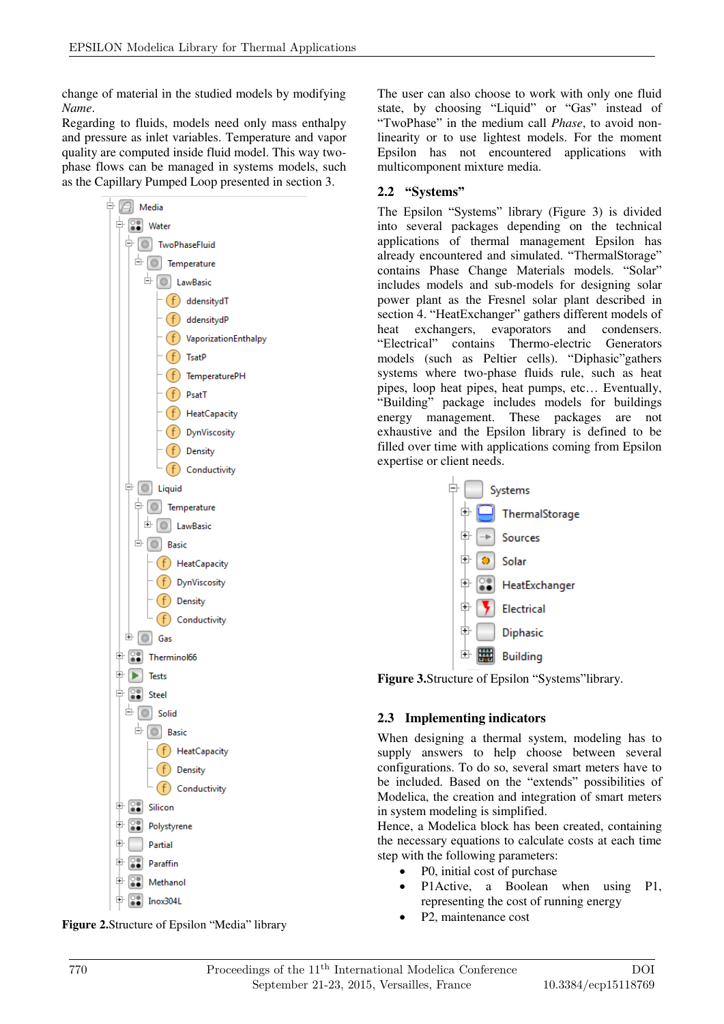change of material in the studied models by modifying *Name*.

Regarding to fluids, models need only mass enthalpy and pressure as inlet variables. Temperature and vapor quality are computed inside fluid model. This way twophase flows can be managed in systems models, such as the Capillary Pumped Loop presented in section 3.



**Figure 2.**Structure of Epsilon "Media" library

The user can also choose to work with only one fluid state, by choosing "Liquid" or "Gas" instead of "TwoPhase" in the medium call *Phase*, to avoid nonlinearity or to use lightest models. For the moment Epsilon has not encountered applications with multicomponent mixture media.

# **2.2 "Systems"**

The Epsilon "Systems" library (Figure 3) is divided into several packages depending on the technical applications of thermal management Epsilon has already encountered and simulated. "ThermalStorage" contains Phase Change Materials models. "Solar" includes models and sub-models for designing solar power plant as the Fresnel solar plant described in section 4. "HeatExchanger" gathers different models of heat exchangers, evaporators and condensers. "Electrical" contains Thermo-electric Generators models (such as Peltier cells). "Diphasic"gathers systems where two-phase fluids rule, such as heat pipes, loop heat pipes, heat pumps, etc… Eventually, "Building" package includes models for buildings energy management. These packages are not exhaustive and the Epsilon library is defined to be filled over time with applications coming from Epsilon expertise or client needs.



**Figure 3.**Structure of Epsilon "Systems"library.

#### **2.3 Implementing indicators**

When designing a thermal system, modeling has to supply answers to help choose between several configurations. To do so, several smart meters have to be included. Based on the "extends" possibilities of Modelica, the creation and integration of smart meters in system modeling is simplified.

Hence, a Modelica block has been created, containing the necessary equations to calculate costs at each time step with the following parameters:

- P0, initial cost of purchase
- P1Active, a Boolean when using P1, representing the cost of running energy
- P2, maintenance cost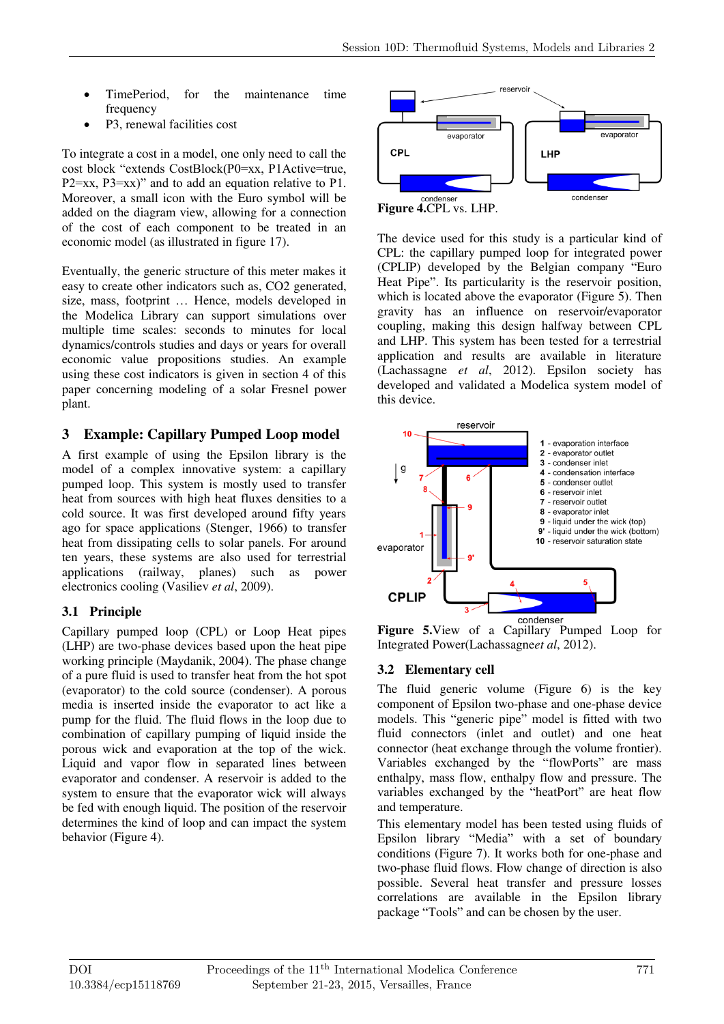- TimePeriod, for the maintenance time frequency
- P3, renewal facilities cost

To integrate a cost in a model, one only need to call the cost block "extends CostBlock(P0=xx, P1Active=true, P2=xx, P3=xx)" and to add an equation relative to P1. Moreover, a small icon with the Euro symbol will be added on the diagram view, allowing for a connection of the cost of each component to be treated in an economic model (as illustrated in figure 17).

Eventually, the generic structure of this meter makes it easy to create other indicators such as, CO2 generated, size, mass, footprint … Hence, models developed in the Modelica Library can support simulations over multiple time scales: seconds to minutes for local dynamics/controls studies and days or years for overall economic value propositions studies. An example using these cost indicators is given in section 4 of this paper concerning modeling of a solar Fresnel power plant.

# **3 Example: Capillary Pumped Loop model**

A first example of using the Epsilon library is the model of a complex innovative system: a capillary pumped loop. This system is mostly used to transfer heat from sources with high heat fluxes densities to a cold source. It was first developed around fifty years ago for space applications (Stenger, 1966) to transfer heat from dissipating cells to solar panels. For around ten years, these systems are also used for terrestrial applications (railway, planes) such as power electronics cooling (Vasiliev *et al*, 2009).

# **3.1 Principle**

Capillary pumped loop (CPL) or Loop Heat pipes (LHP) are two-phase devices based upon the heat pipe working principle (Maydanik, 2004). The phase change of a pure fluid is used to transfer heat from the hot spot (evaporator) to the cold source (condenser). A porous media is inserted inside the evaporator to act like a pump for the fluid. The fluid flows in the loop due to combination of capillary pumping of liquid inside the porous wick and evaporation at the top of the wick. Liquid and vapor flow in separated lines between evaporator and condenser. A reservoir is added to the system to ensure that the evaporator wick will always be fed with enough liquid. The position of the reservoir determines the kind of loop and can impact the system behavior (Figure 4).



The device used for this study is a particular kind of CPL: the capillary pumped loop for integrated power (CPLIP) developed by the Belgian company "Euro Heat Pipe". Its particularity is the reservoir position, which is located above the evaporator (Figure 5). Then gravity has an influence on reservoir/evaporator coupling, making this design halfway between CPL and LHP. This system has been tested for a terrestrial application and results are available in literature (Lachassagne *et al*, 2012). Epsilon society has developed and validated a Modelica system model of this device.



**Figure 5.**View of a Capillary Pumped Loop for Integrated Power(Lachassagne*et al*, 2012).

# **3.2 Elementary cell**

The fluid generic volume (Figure 6) is the key component of Epsilon two-phase and one-phase device models. This "generic pipe" model is fitted with two fluid connectors (inlet and outlet) and one heat connector (heat exchange through the volume frontier). Variables exchanged by the "flowPorts" are mass enthalpy, mass flow, enthalpy flow and pressure. The variables exchanged by the "heatPort" are heat flow and temperature.

This elementary model has been tested using fluids of Epsilon library "Media" with a set of boundary conditions (Figure 7). It works both for one-phase and two-phase fluid flows. Flow change of direction is also possible. Several heat transfer and pressure losses correlations are available in the Epsilon library package "Tools" and can be chosen by the user.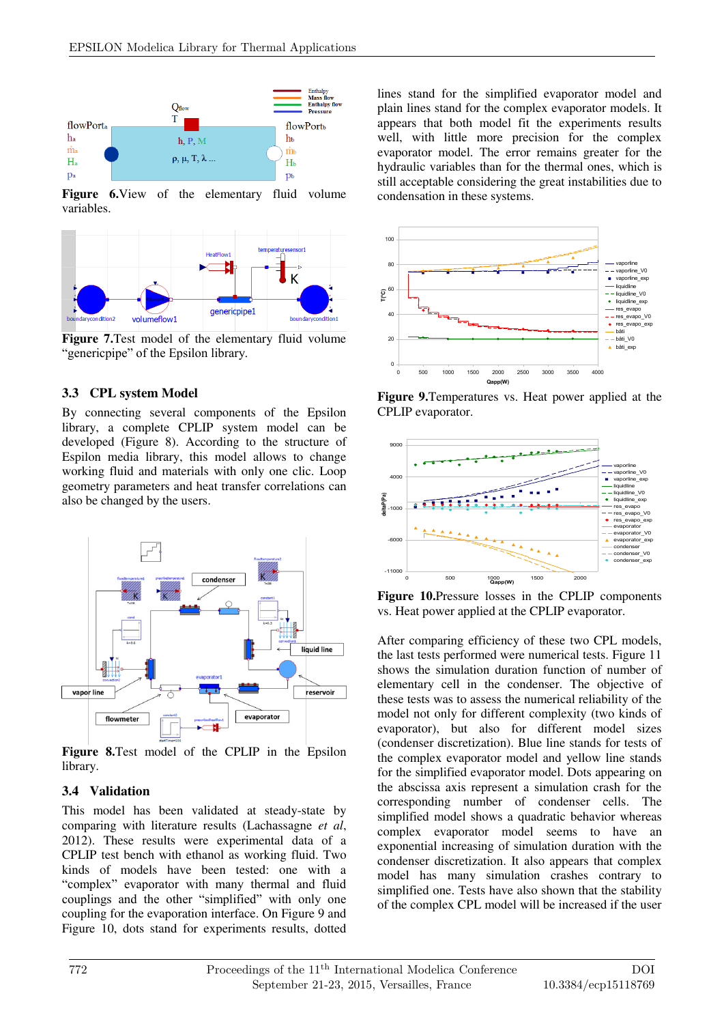

**Figure 6.**View of the elementary fluid volume variables.



**Figure 7.**Test model of the elementary fluid volume "genericpipe" of the Epsilon library.

# **3.3 CPL system Model**

By connecting several components of the Epsilon library, a complete CPLIP system model can be developed (Figure 8). According to the structure of Espilon media library, this model allows to change working fluid and materials with only one clic. Loop geometry parameters and heat transfer correlations can also be changed by the users.



**Figure 8.**Test model of the CPLIP in the Epsilon library.

# **3.4 Validation**

This model has been validated at steady-state by comparing with literature results (Lachassagne *et al*, 2012). These results were experimental data of a CPLIP test bench with ethanol as working fluid. Two kinds of models have been tested: one with a "complex" evaporator with many thermal and fluid couplings and the other "simplified" with only one coupling for the evaporation interface. On Figure 9 and Figure 10, dots stand for experiments results, dotted lines stand for the simplified evaporator model and plain lines stand for the complex evaporator models. It appears that both model fit the experiments results well, with little more precision for the complex evaporator model. The error remains greater for the hydraulic variables than for the thermal ones, which is still acceptable considering the great instabilities due to condensation in these systems.



**Figure 9.**Temperatures vs. Heat power applied at the CPLIP evaporator.



**Figure 10.**Pressure losses in the CPLIP components vs. Heat power applied at the CPLIP evaporator.

After comparing efficiency of these two CPL models, the last tests performed were numerical tests. Figure 11 shows the simulation duration function of number of elementary cell in the condenser. The objective of these tests was to assess the numerical reliability of the model not only for different complexity (two kinds of evaporator), but also for different model sizes (condenser discretization). Blue line stands for tests of the complex evaporator model and yellow line stands for the simplified evaporator model. Dots appearing on the abscissa axis represent a simulation crash for the corresponding number of condenser cells. The simplified model shows a quadratic behavior whereas complex evaporator model seems to have an exponential increasing of simulation duration with the condenser discretization. It also appears that complex model has many simulation crashes contrary to simplified one. Tests have also shown that the stability of the complex CPL model will be increased if the user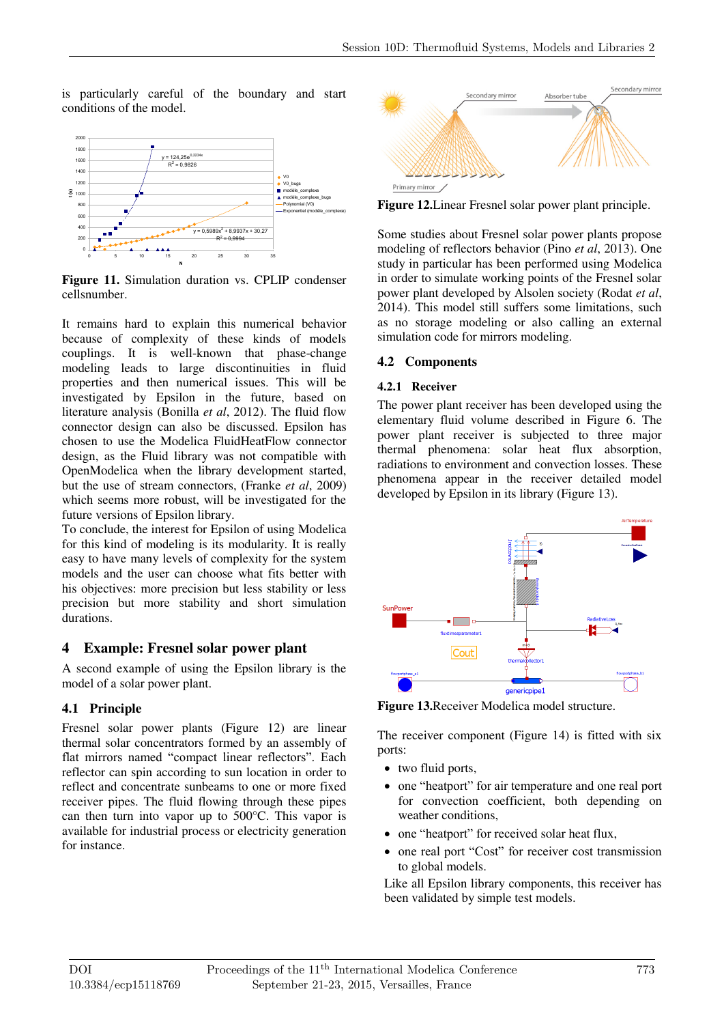is particularly careful of the boundary and start conditions of the model.



**Figure 11.** Simulation duration vs. CPLIP condenser cellsnumber.

It remains hard to explain this numerical behavior because of complexity of these kinds of models couplings. It is well-known that phase-change modeling leads to large discontinuities in fluid properties and then numerical issues. This will be investigated by Epsilon in the future, based on literature analysis (Bonilla *et al*, 2012). The fluid flow connector design can also be discussed. Epsilon has chosen to use the Modelica FluidHeatFlow connector design, as the Fluid library was not compatible with OpenModelica when the library development started, but the use of stream connectors, (Franke *et al*, 2009) which seems more robust, will be investigated for the future versions of Epsilon library.

To conclude, the interest for Epsilon of using Modelica for this kind of modeling is its modularity. It is really easy to have many levels of complexity for the system models and the user can choose what fits better with his objectives: more precision but less stability or less precision but more stability and short simulation durations.

# **4 Example: Fresnel solar power plant**

A second example of using the Epsilon library is the model of a solar power plant.

# **4.1 Principle**

Fresnel solar power plants (Figure 12) are linear thermal solar concentrators formed by an assembly of flat mirrors named "compact linear reflectors". Each reflector can spin according to sun location in order to reflect and concentrate sunbeams to one or more fixed receiver pipes. The fluid flowing through these pipes can then turn into vapor up to 500°C. This vapor is available for industrial process or electricity generation for instance.



**Figure 12.**Linear Fresnel solar power plant principle.

Some studies about Fresnel solar power plants propose modeling of reflectors behavior (Pino *et al*, 2013). One study in particular has been performed using Modelica in order to simulate working points of the Fresnel solar power plant developed by Alsolen society (Rodat *et al*, 2014). This model still suffers some limitations, such as no storage modeling or also calling an external simulation code for mirrors modeling.

# **4.2 Components**

#### **4.2.1 Receiver**

The power plant receiver has been developed using the elementary fluid volume described in Figure 6. The power plant receiver is subjected to three major thermal phenomena: solar heat flux absorption, radiations to environment and convection losses. These phenomena appear in the receiver detailed model developed by Epsilon in its library (Figure 13).



**Figure 13.**Receiver Modelica model structure.

The receiver component (Figure 14) is fitted with six ports:

- two fluid ports,
- one "heatport" for air temperature and one real port for convection coefficient, both depending on weather conditions,
- one "heatport" for received solar heat flux,
- one real port "Cost" for receiver cost transmission to global models.

Like all Epsilon library components, this receiver has been validated by simple test models.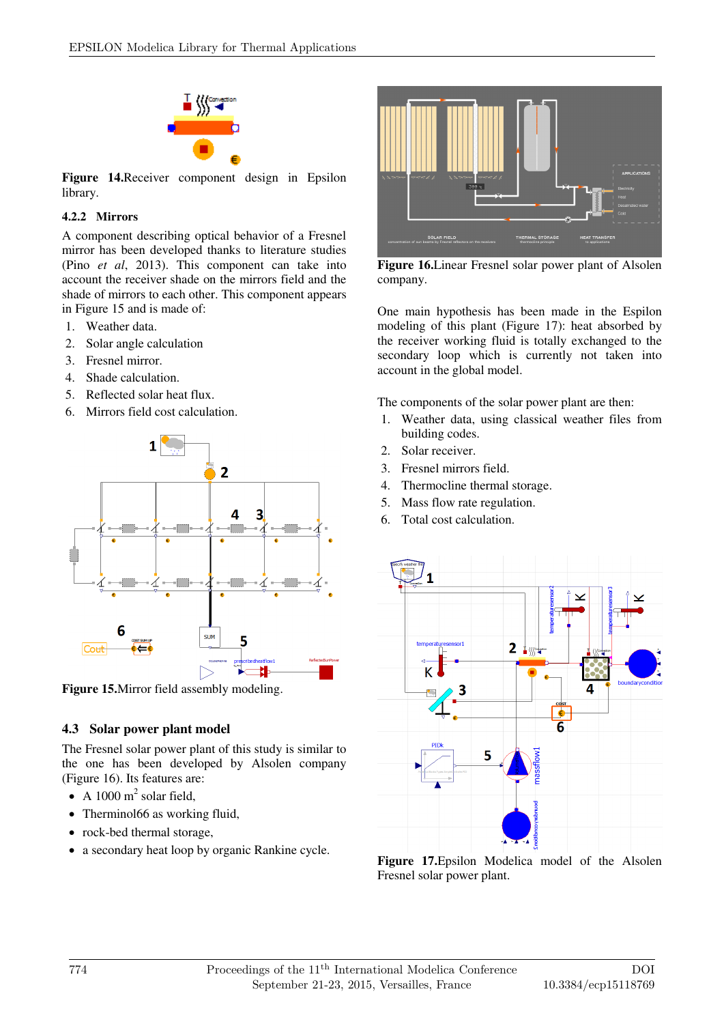

**Figure 14.**Receiver component design in Epsilon library.

#### **4.2.2 Mirrors**

A component describing optical behavior of a Fresnel mirror has been developed thanks to literature studies (Pino *et al*, 2013). This component can take into account the receiver shade on the mirrors field and the shade of mirrors to each other. This component appears in Figure 15 and is made of:

- 1. Weather data.
- 2. Solar angle calculation
- 3. Fresnel mirror.
- 4. Shade calculation.
- 5. Reflected solar heat flux.
- 6. Mirrors field cost calculation.



**Figure 15.**Mirror field assembly modeling.

# **4.3 Solar power plant model**

The Fresnel solar power plant of this study is similar to the one has been developed by Alsolen company (Figure 16). Its features are:

- A 1000  $m^2$  solar field,
- Therminol66 as working fluid,
- rock-bed thermal storage.
- a secondary heat loop by organic Rankine cycle.



**Figure 16.**Linear Fresnel solar power plant of Alsolen company.

One main hypothesis has been made in the Espilon modeling of this plant (Figure 17): heat absorbed by the receiver working fluid is totally exchanged to the secondary loop which is currently not taken into account in the global model.

The components of the solar power plant are then:

- 1. Weather data, using classical weather files from building codes.
- 2. Solar receiver.
- 3. Fresnel mirrors field.
- 4. Thermocline thermal storage.
- 5. Mass flow rate regulation.
- 6. Total cost calculation.



**Figure 17.**Epsilon Modelica model of the Alsolen Fresnel solar power plant.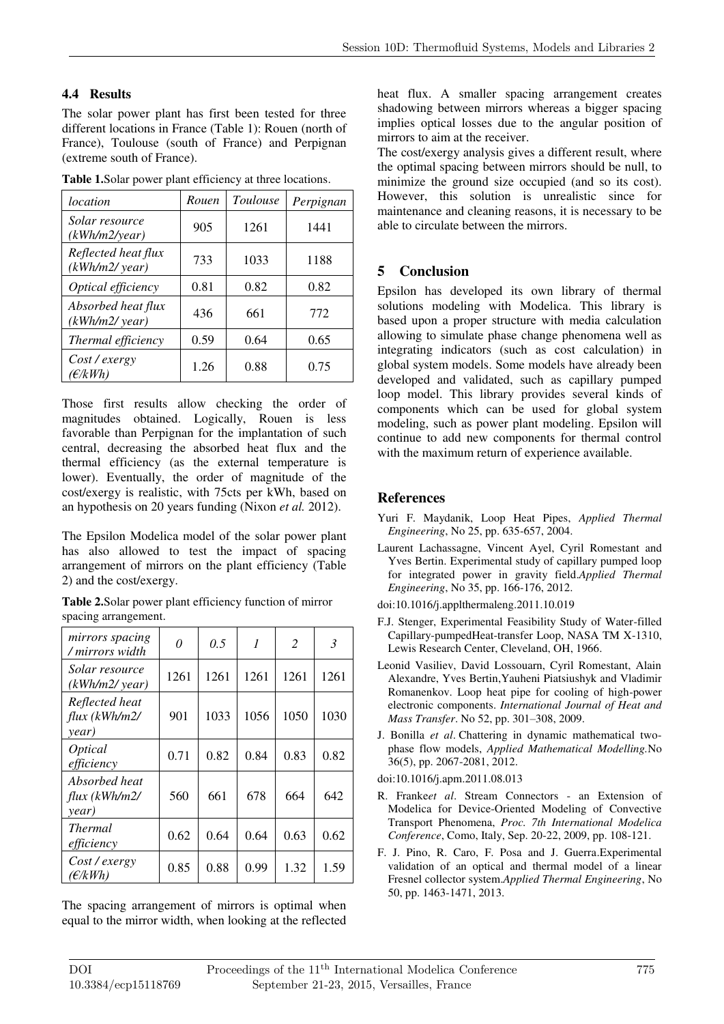# **4.4 Results**

The solar power plant has first been tested for three different locations in France (Table 1): Rouen (north of France), Toulouse (south of France) and Perpignan (extreme south of France).

| location                             | Rouen | Toulouse | Perpignan |
|--------------------------------------|-------|----------|-----------|
| Solar resource<br>(kWh/m2/year)      | 905   | 1261     | 1441      |
| Reflected heat flux<br>(kWh/m2/year) | 733   | 1033     | 1188      |
| Optical efficiency                   | 0.81  | 0.82     | 0.82      |
| Absorbed heat flux<br>(kWh/m2/year)  | 436   | 661      | 772       |
| Thermal efficiency                   | 0.59  | 0.64     | 0.65      |
| Cost/exergy<br>( $\epsilon$ /kWh)    | 1.26  | 0.88     | 0.75      |

**Table 1.**Solar power plant efficiency at three locations.

Those first results allow checking the order of magnitudes obtained. Logically, Rouen is less favorable than Perpignan for the implantation of such central, decreasing the absorbed heat flux and the thermal efficiency (as the external temperature is lower). Eventually, the order of magnitude of the cost/exergy is realistic, with 75cts per kWh, based on an hypothesis on 20 years funding (Nixon *et al.* 2012).

The Epsilon Modelica model of the solar power plant has also allowed to test the impact of spacing arrangement of mirrors on the plant efficiency (Table 2) and the cost/exergy.

**Table 2.**Solar power plant efficiency function of mirror spacing arrangement.

| mirrors spacing<br>/ mirrors width       | 0    | 0.5  | 1    | 2    | $\mathfrak{Z}$ |
|------------------------------------------|------|------|------|------|----------------|
| Solar resource<br>$(kWh/m2/\nu ear)$     | 1261 | 1261 | 1261 | 1261 | 1261           |
| Reflected heat<br>flux (kWh/m2/<br>year) | 901  | 1033 | 1056 | 1050 | 1030           |
| <i>Optical</i><br>efficiency             | 0.71 | 0.82 | 0.84 | 0.83 | 0.82           |
| Absorbed heat<br>flux (kWh/m2/<br>year)  | 560  | 661  | 678  | 664  | 642            |
| <b>Thermal</b><br>efficiency             | 0.62 | 0.64 | 0.64 | 0.63 | 0.62           |
| Cost/exergy<br>(E/kWh)                   | 0.85 | 0.88 | 0.99 | 1.32 | 1.59           |

The spacing arrangement of mirrors is optimal when equal to the mirror width, when looking at the reflected

heat flux. A smaller spacing arrangement creates shadowing between mirrors whereas a bigger spacing implies optical losses due to the angular position of mirrors to aim at the receiver.

The cost/exergy analysis gives a different result, where the optimal spacing between mirrors should be null, to minimize the ground size occupied (and so its cost). However, this solution is unrealistic since for maintenance and cleaning reasons, it is necessary to be able to circulate between the mirrors.

# **5 Conclusion**

Epsilon has developed its own library of thermal solutions modeling with Modelica. This library is based upon a proper structure with media calculation allowing to simulate phase change phenomena well as integrating indicators (such as cost calculation) in global system models. Some models have already been developed and validated, such as capillary pumped loop model. This library provides several kinds of components which can be used for global system modeling, such as power plant modeling. Epsilon will continue to add new components for thermal control with the maximum return of experience available.

# **References**

- Yuri F. Maydanik, Loop Heat Pipes, *Applied Thermal Engineering*, No 25, pp. 635-657, 2004.
- Laurent Lachassagne, Vincent Ayel, Cyril Romestant and Yves Bertin. Experimental study of capillary pumped loop for integrated power in gravity field.*Applied Thermal Engineering*, No 35, pp. 166-176, 2012.
- doi:10.1016/j.applthermaleng.2011.10.019
- F.J. Stenger, Experimental Feasibility Study of Water-filled Capillary-pumpedHeat-transfer Loop, NASA TM X-1310, Lewis Research Center, Cleveland, OH, 1966.
- Leonid Vasiliev, David Lossouarn, Cyril Romestant, Alain Alexandre, Yves Bertin,Yauheni Piatsiushyk and Vladimir Romanenkov. Loop heat pipe for cooling of high-power electronic components. *International Journal of Heat and Mass Transfer*. No 52, pp. 301–308, 2009.
- J. Bonilla *et al*. Chattering in dynamic mathematical twophase flow models, *Applied Mathematical Modelling.*No 36(5), pp. 2067-2081, 2012.

doi:10.1016/j.apm.2011.08.013

- R. Franke*et al*. Stream Connectors an Extension of Modelica for Device-Oriented Modeling of Convective Transport Phenomena, *Proc. 7th International Modelica Conference*, Como, Italy, Sep. 20-22, 2009, pp. 108-121.
- F. J. Pino, R. Caro, F. Posa and J. Guerra.Experimental validation of an optical and thermal model of a linear Fresnel collector system.*Applied Thermal Engineering*, No 50, pp. 1463-1471, 2013.